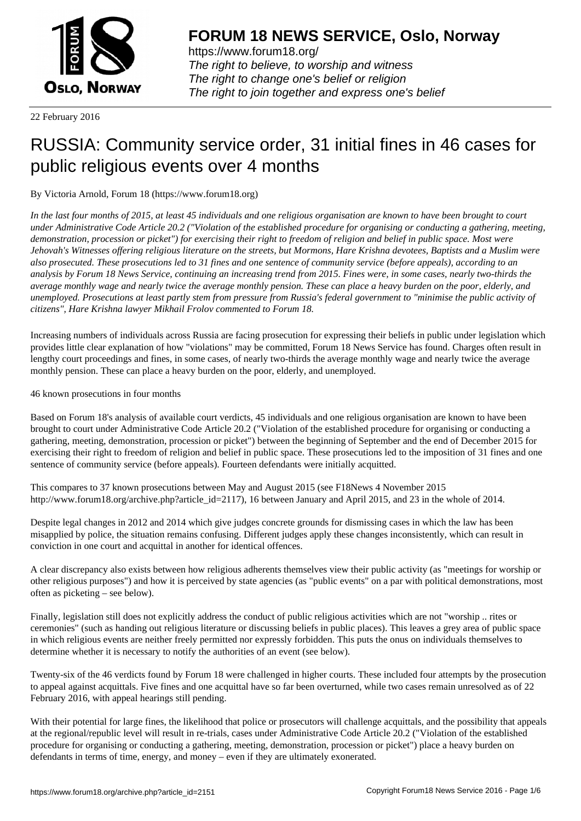

https://www.forum18.org/ The right to believe, to worship and witness The right to change one's belief or religion [The right to join together a](https://www.forum18.org/)nd express one's belief

22 February 2016

# [RUSSIA: Comm](https://www.forum18.org)unity service order, 31 initial fines in 46 cases for public religious events over 4 months

By Victoria Arnold, Forum 18 (https://www.forum18.org)

*In the last four months of 2015, at least 45 individuals and one religious organisation are known to have been brought to court under Administrative Code Article 20.2 ("Violation of the established procedure for organising or conducting a gathering, meeting, demonstration, procession or picket") for exercising their right to freedom of religion and belief in public space. Most were Jehovah's Witnesses offering religious literature on the streets, but Mormons, Hare Krishna devotees, Baptists and a Muslim were also prosecuted. These prosecutions led to 31 fines and one sentence of community service (before appeals), according to an analysis by Forum 18 News Service, continuing an increasing trend from 2015. Fines were, in some cases, nearly two-thirds the average monthly wage and nearly twice the average monthly pension. These can place a heavy burden on the poor, elderly, and unemployed. Prosecutions at least partly stem from pressure from Russia's federal government to "minimise the public activity of citizens", Hare Krishna lawyer Mikhail Frolov commented to Forum 18.*

Increasing numbers of individuals across Russia are facing prosecution for expressing their beliefs in public under legislation which provides little clear explanation of how "violations" may be committed, Forum 18 News Service has found. Charges often result in lengthy court proceedings and fines, in some cases, of nearly two-thirds the average monthly wage and nearly twice the average monthly pension. These can place a heavy burden on the poor, elderly, and unemployed.

46 known prosecutions in four months

Based on Forum 18's analysis of available court verdicts, 45 individuals and one religious organisation are known to have been brought to court under Administrative Code Article 20.2 ("Violation of the established procedure for organising or conducting a gathering, meeting, demonstration, procession or picket") between the beginning of September and the end of December 2015 for exercising their right to freedom of religion and belief in public space. These prosecutions led to the imposition of 31 fines and one sentence of community service (before appeals). Fourteen defendants were initially acquitted.

This compares to 37 known prosecutions between May and August 2015 (see F18News 4 November 2015 http://www.forum18.org/archive.php?article\_id=2117), 16 between January and April 2015, and 23 in the whole of 2014.

Despite legal changes in 2012 and 2014 which give judges concrete grounds for dismissing cases in which the law has been misapplied by police, the situation remains confusing. Different judges apply these changes inconsistently, which can result in conviction in one court and acquittal in another for identical offences.

A clear discrepancy also exists between how religious adherents themselves view their public activity (as "meetings for worship or other religious purposes") and how it is perceived by state agencies (as "public events" on a par with political demonstrations, most often as picketing – see below).

Finally, legislation still does not explicitly address the conduct of public religious activities which are not "worship .. rites or ceremonies" (such as handing out religious literature or discussing beliefs in public places). This leaves a grey area of public space in which religious events are neither freely permitted nor expressly forbidden. This puts the onus on individuals themselves to determine whether it is necessary to notify the authorities of an event (see below).

Twenty-six of the 46 verdicts found by Forum 18 were challenged in higher courts. These included four attempts by the prosecution to appeal against acquittals. Five fines and one acquittal have so far been overturned, while two cases remain unresolved as of 22 February 2016, with appeal hearings still pending.

With their potential for large fines, the likelihood that police or prosecutors will challenge acquittals, and the possibility that appeals at the regional/republic level will result in re-trials, cases under Administrative Code Article 20.2 ("Violation of the established procedure for organising or conducting a gathering, meeting, demonstration, procession or picket") place a heavy burden on defendants in terms of time, energy, and money – even if they are ultimately exonerated.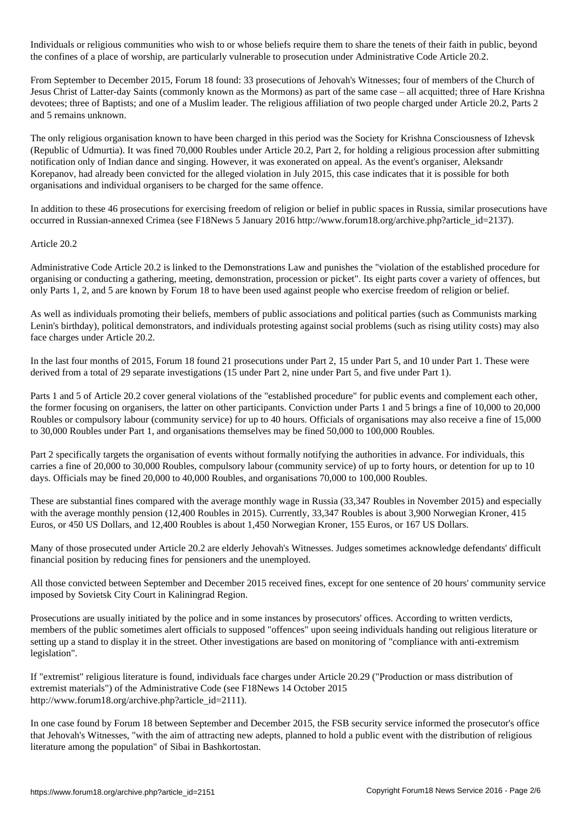Individuals or religious communities who wish to or whose beliefs require them to share the tenets of their faith in public, beyond the confines of a place of worship, are particularly vulnerable to prosecution under Administrative Code Article 20.2.

From September to December 2015, Forum 18 found: 33 prosecutions of Jehovah's Witnesses; four of members of the Church of Jesus Christ of Latter-day Saints (commonly known as the Mormons) as part of the same case – all acquitted; three of Hare Krishna devotees; three of Baptists; and one of a Muslim leader. The religious affiliation of two people charged under Article 20.2, Parts 2 and 5 remains unknown.

The only religious organisation known to have been charged in this period was the Society for Krishna Consciousness of Izhevsk (Republic of Udmurtia). It was fined 70,000 Roubles under Article 20.2, Part 2, for holding a religious procession after submitting notification only of Indian dance and singing. However, it was exonerated on appeal. As the event's organiser, Aleksandr Korepanov, had already been convicted for the alleged violation in July 2015, this case indicates that it is possible for both organisations and individual organisers to be charged for the same offence.

In addition to these 46 prosecutions for exercising freedom of religion or belief in public spaces in Russia, similar prosecutions have occurred in Russian-annexed Crimea (see F18News 5 January 2016 http://www.forum18.org/archive.php?article\_id=2137).

## Article 20.2

Administrative Code Article 20.2 is linked to the Demonstrations Law and punishes the "violation of the established procedure for organising or conducting a gathering, meeting, demonstration, procession or picket". Its eight parts cover a variety of offences, but only Parts 1, 2, and 5 are known by Forum 18 to have been used against people who exercise freedom of religion or belief.

As well as individuals promoting their beliefs, members of public associations and political parties (such as Communists marking Lenin's birthday), political demonstrators, and individuals protesting against social problems (such as rising utility costs) may also face charges under Article 20.2.

In the last four months of 2015, Forum 18 found 21 prosecutions under Part 2, 15 under Part 5, and 10 under Part 1. These were derived from a total of 29 separate investigations (15 under Part 2, nine under Part 5, and five under Part 1).

Parts 1 and 5 of Article 20.2 cover general violations of the "established procedure" for public events and complement each other, the former focusing on organisers, the latter on other participants. Conviction under Parts 1 and 5 brings a fine of 10,000 to 20,000 Roubles or compulsory labour (community service) for up to 40 hours. Officials of organisations may also receive a fine of 15,000 to 30,000 Roubles under Part 1, and organisations themselves may be fined 50,000 to 100,000 Roubles.

Part 2 specifically targets the organisation of events without formally notifying the authorities in advance. For individuals, this carries a fine of 20,000 to 30,000 Roubles, compulsory labour (community service) of up to forty hours, or detention for up to 10 days. Officials may be fined 20,000 to 40,000 Roubles, and organisations 70,000 to 100,000 Roubles.

These are substantial fines compared with the average monthly wage in Russia (33,347 Roubles in November 2015) and especially with the average monthly pension (12,400 Roubles in 2015). Currently, 33,347 Roubles is about 3,900 Norwegian Kroner, 415 Euros, or 450 US Dollars, and 12,400 Roubles is about 1,450 Norwegian Kroner, 155 Euros, or 167 US Dollars.

Many of those prosecuted under Article 20.2 are elderly Jehovah's Witnesses. Judges sometimes acknowledge defendants' difficult financial position by reducing fines for pensioners and the unemployed.

All those convicted between September and December 2015 received fines, except for one sentence of 20 hours' community service imposed by Sovietsk City Court in Kaliningrad Region.

Prosecutions are usually initiated by the police and in some instances by prosecutors' offices. According to written verdicts, members of the public sometimes alert officials to supposed "offences" upon seeing individuals handing out religious literature or setting up a stand to display it in the street. Other investigations are based on monitoring of "compliance with anti-extremism legislation".

If "extremist" religious literature is found, individuals face charges under Article 20.29 ("Production or mass distribution of extremist materials") of the Administrative Code (see F18News 14 October 2015 http://www.forum18.org/archive.php?article\_id=2111).

In one case found by Forum 18 between September and December 2015, the FSB security service informed the prosecutor's office that Jehovah's Witnesses, "with the aim of attracting new adepts, planned to hold a public event with the distribution of religious literature among the population" of Sibai in Bashkortostan.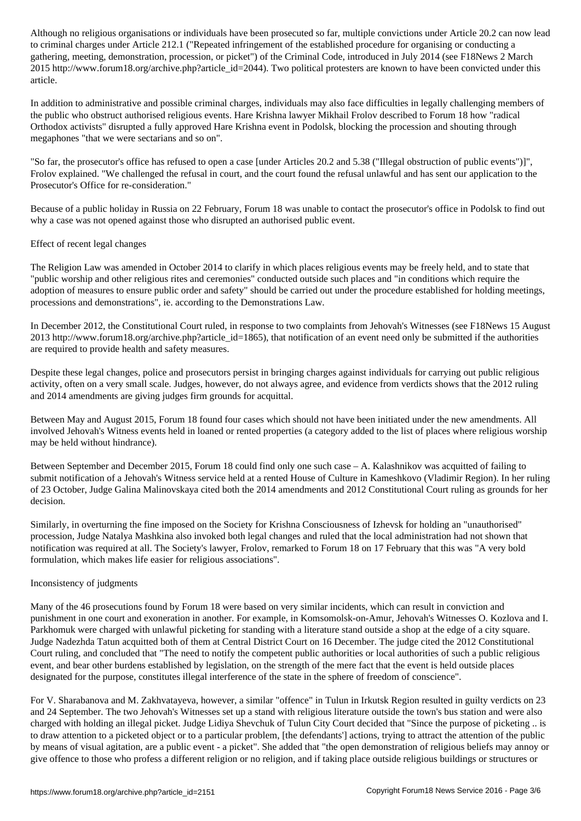to criminal charges under Article 212.1 ("Repeated infringement of the established procedure for organising or conducting a gathering, meeting, demonstration, procession, or picket") of the Criminal Code, introduced in July 2014 (see F18News 2 March 2015 http://www.forum18.org/archive.php?article\_id=2044). Two political protesters are known to have been convicted under this article.

In addition to administrative and possible criminal charges, individuals may also face difficulties in legally challenging members of the public who obstruct authorised religious events. Hare Krishna lawyer Mikhail Frolov described to Forum 18 how "radical Orthodox activists" disrupted a fully approved Hare Krishna event in Podolsk, blocking the procession and shouting through megaphones "that we were sectarians and so on".

"So far, the prosecutor's office has refused to open a case [under Articles 20.2 and 5.38 ("Illegal obstruction of public events")]", Frolov explained. "We challenged the refusal in court, and the court found the refusal unlawful and has sent our application to the Prosecutor's Office for re-consideration."

Because of a public holiday in Russia on 22 February, Forum 18 was unable to contact the prosecutor's office in Podolsk to find out why a case was not opened against those who disrupted an authorised public event.

## Effect of recent legal changes

The Religion Law was amended in October 2014 to clarify in which places religious events may be freely held, and to state that "public worship and other religious rites and ceremonies" conducted outside such places and "in conditions which require the adoption of measures to ensure public order and safety" should be carried out under the procedure established for holding meetings, processions and demonstrations", ie. according to the Demonstrations Law.

In December 2012, the Constitutional Court ruled, in response to two complaints from Jehovah's Witnesses (see F18News 15 August 2013 http://www.forum18.org/archive.php?article\_id=1865), that notification of an event need only be submitted if the authorities are required to provide health and safety measures.

Despite these legal changes, police and prosecutors persist in bringing charges against individuals for carrying out public religious activity, often on a very small scale. Judges, however, do not always agree, and evidence from verdicts shows that the 2012 ruling and 2014 amendments are giving judges firm grounds for acquittal.

Between May and August 2015, Forum 18 found four cases which should not have been initiated under the new amendments. All involved Jehovah's Witness events held in loaned or rented properties (a category added to the list of places where religious worship may be held without hindrance).

Between September and December 2015, Forum 18 could find only one such case – A. Kalashnikov was acquitted of failing to submit notification of a Jehovah's Witness service held at a rented House of Culture in Kameshkovo (Vladimir Region). In her ruling of 23 October, Judge Galina Malinovskaya cited both the 2014 amendments and 2012 Constitutional Court ruling as grounds for her decision.

Similarly, in overturning the fine imposed on the Society for Krishna Consciousness of Izhevsk for holding an "unauthorised" procession, Judge Natalya Mashkina also invoked both legal changes and ruled that the local administration had not shown that notification was required at all. The Society's lawyer, Frolov, remarked to Forum 18 on 17 February that this was "A very bold formulation, which makes life easier for religious associations".

### Inconsistency of judgments

Many of the 46 prosecutions found by Forum 18 were based on very similar incidents, which can result in conviction and punishment in one court and exoneration in another. For example, in Komsomolsk-on-Amur, Jehovah's Witnesses O. Kozlova and I. Parkhomuk were charged with unlawful picketing for standing with a literature stand outside a shop at the edge of a city square. Judge Nadezhda Tatun acquitted both of them at Central District Court on 16 December. The judge cited the 2012 Constitutional Court ruling, and concluded that "The need to notify the competent public authorities or local authorities of such a public religious event, and bear other burdens established by legislation, on the strength of the mere fact that the event is held outside places designated for the purpose, constitutes illegal interference of the state in the sphere of freedom of conscience".

For V. Sharabanova and M. Zakhvatayeva, however, a similar "offence" in Tulun in Irkutsk Region resulted in guilty verdicts on 23 and 24 September. The two Jehovah's Witnesses set up a stand with religious literature outside the town's bus station and were also charged with holding an illegal picket. Judge Lidiya Shevchuk of Tulun City Court decided that "Since the purpose of picketing .. is to draw attention to a picketed object or to a particular problem, [the defendants'] actions, trying to attract the attention of the public by means of visual agitation, are a public event - a picket". She added that "the open demonstration of religious beliefs may annoy or give offence to those who profess a different religion or no religion, and if taking place outside religious buildings or structures or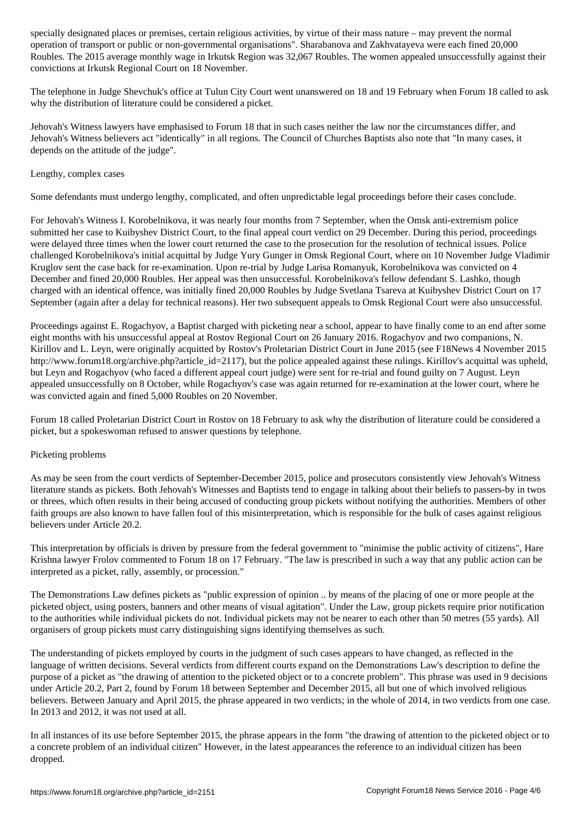operation of transport or public or non-governmental organisations". Sharabanova and Zakhvatayeva were each fined 20,000 Roubles. The 2015 average monthly wage in Irkutsk Region was 32,067 Roubles. The women appealed unsuccessfully against their convictions at Irkutsk Regional Court on 18 November.

The telephone in Judge Shevchuk's office at Tulun City Court went unanswered on 18 and 19 February when Forum 18 called to ask why the distribution of literature could be considered a picket.

Jehovah's Witness lawyers have emphasised to Forum 18 that in such cases neither the law nor the circumstances differ, and Jehovah's Witness believers act "identically" in all regions. The Council of Churches Baptists also note that "In many cases, it depends on the attitude of the judge".

#### Lengthy, complex cases

Some defendants must undergo lengthy, complicated, and often unpredictable legal proceedings before their cases conclude.

For Jehovah's Witness I. Korobelnikova, it was nearly four months from 7 September, when the Omsk anti-extremism police submitted her case to Kuibyshev District Court, to the final appeal court verdict on 29 December. During this period, proceedings were delayed three times when the lower court returned the case to the prosecution for the resolution of technical issues. Police challenged Korobelnikova's initial acquittal by Judge Yury Gunger in Omsk Regional Court, where on 10 November Judge Vladimir Kruglov sent the case back for re-examination. Upon re-trial by Judge Larisa Romanyuk, Korobelnikova was convicted on 4 December and fined 20,000 Roubles. Her appeal was then unsuccessful. Korobelnikova's fellow defendant S. Lashko, though charged with an identical offence, was initially fined 20,000 Roubles by Judge Svetlana Tsareva at Kuibyshev District Court on 17 September (again after a delay for technical reasons). Her two subsequent appeals to Omsk Regional Court were also unsuccessful.

Proceedings against E. Rogachyov, a Baptist charged with picketing near a school, appear to have finally come to an end after some eight months with his unsuccessful appeal at Rostov Regional Court on 26 January 2016. Rogachyov and two companions, N. Kirillov and L. Leyn, were originally acquitted by Rostov's Proletarian District Court in June 2015 (see F18News 4 November 2015 http://www.forum18.org/archive.php?article\_id=2117), but the police appealed against these rulings. Kirillov's acquittal was upheld, but Leyn and Rogachyov (who faced a different appeal court judge) were sent for re-trial and found guilty on 7 August. Leyn appealed unsuccessfully on 8 October, while Rogachyov's case was again returned for re-examination at the lower court, where he was convicted again and fined 5,000 Roubles on 20 November.

Forum 18 called Proletarian District Court in Rostov on 18 February to ask why the distribution of literature could be considered a picket, but a spokeswoman refused to answer questions by telephone.

### Picketing problems

As may be seen from the court verdicts of September-December 2015, police and prosecutors consistently view Jehovah's Witness literature stands as pickets. Both Jehovah's Witnesses and Baptists tend to engage in talking about their beliefs to passers-by in twos or threes, which often results in their being accused of conducting group pickets without notifying the authorities. Members of other faith groups are also known to have fallen foul of this misinterpretation, which is responsible for the bulk of cases against religious believers under Article 20.2.

This interpretation by officials is driven by pressure from the federal government to "minimise the public activity of citizens", Hare Krishna lawyer Frolov commented to Forum 18 on 17 February. "The law is prescribed in such a way that any public action can be interpreted as a picket, rally, assembly, or procession."

The Demonstrations Law defines pickets as "public expression of opinion .. by means of the placing of one or more people at the picketed object, using posters, banners and other means of visual agitation". Under the Law, group pickets require prior notification to the authorities while individual pickets do not. Individual pickets may not be nearer to each other than 50 metres (55 yards). All organisers of group pickets must carry distinguishing signs identifying themselves as such.

The understanding of pickets employed by courts in the judgment of such cases appears to have changed, as reflected in the language of written decisions. Several verdicts from different courts expand on the Demonstrations Law's description to define the purpose of a picket as "the drawing of attention to the picketed object or to a concrete problem". This phrase was used in 9 decisions under Article 20.2, Part 2, found by Forum 18 between September and December 2015, all but one of which involved religious believers. Between January and April 2015, the phrase appeared in two verdicts; in the whole of 2014, in two verdicts from one case. In 2013 and 2012, it was not used at all.

In all instances of its use before September 2015, the phrase appears in the form "the drawing of attention to the picketed object or to a concrete problem of an individual citizen" However, in the latest appearances the reference to an individual citizen has been dropped.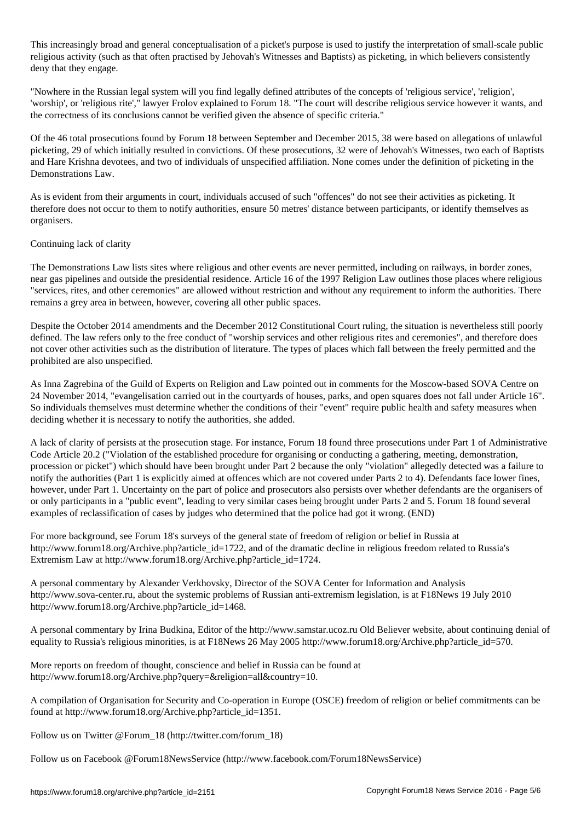This increasingly broad and general conceptualisation of a picket's purpose is used to justify the interpretation of small-scale public religious activity (such as that often practised by Jehovah's Witnesses and Baptists) as picketing, in which believers consistently deny that they engage.

"Nowhere in the Russian legal system will you find legally defined attributes of the concepts of 'religious service', 'religion', 'worship', or 'religious rite'," lawyer Frolov explained to Forum 18. "The court will describe religious service however it wants, and the correctness of its conclusions cannot be verified given the absence of specific criteria."

Of the 46 total prosecutions found by Forum 18 between September and December 2015, 38 were based on allegations of unlawful picketing, 29 of which initially resulted in convictions. Of these prosecutions, 32 were of Jehovah's Witnesses, two each of Baptists and Hare Krishna devotees, and two of individuals of unspecified affiliation. None comes under the definition of picketing in the Demonstrations Law.

As is evident from their arguments in court, individuals accused of such "offences" do not see their activities as picketing. It therefore does not occur to them to notify authorities, ensure 50 metres' distance between participants, or identify themselves as organisers.

### Continuing lack of clarity

The Demonstrations Law lists sites where religious and other events are never permitted, including on railways, in border zones, near gas pipelines and outside the presidential residence. Article 16 of the 1997 Religion Law outlines those places where religious "services, rites, and other ceremonies" are allowed without restriction and without any requirement to inform the authorities. There remains a grey area in between, however, covering all other public spaces.

Despite the October 2014 amendments and the December 2012 Constitutional Court ruling, the situation is nevertheless still poorly defined. The law refers only to the free conduct of "worship services and other religious rites and ceremonies", and therefore does not cover other activities such as the distribution of literature. The types of places which fall between the freely permitted and the prohibited are also unspecified.

As Inna Zagrebina of the Guild of Experts on Religion and Law pointed out in comments for the Moscow-based SOVA Centre on 24 November 2014, "evangelisation carried out in the courtyards of houses, parks, and open squares does not fall under Article 16". So individuals themselves must determine whether the conditions of their "event" require public health and safety measures when deciding whether it is necessary to notify the authorities, she added.

A lack of clarity of persists at the prosecution stage. For instance, Forum 18 found three prosecutions under Part 1 of Administrative Code Article 20.2 ("Violation of the established procedure for organising or conducting a gathering, meeting, demonstration, procession or picket") which should have been brought under Part 2 because the only "violation" allegedly detected was a failure to notify the authorities (Part 1 is explicitly aimed at offences which are not covered under Parts 2 to 4). Defendants face lower fines, however, under Part 1. Uncertainty on the part of police and prosecutors also persists over whether defendants are the organisers of or only participants in a "public event", leading to very similar cases being brought under Parts 2 and 5. Forum 18 found several examples of reclassification of cases by judges who determined that the police had got it wrong. (END)

For more background, see Forum 18's surveys of the general state of freedom of religion or belief in Russia at http://www.forum18.org/Archive.php?article\_id=1722, and of the dramatic decline in religious freedom related to Russia's Extremism Law at http://www.forum18.org/Archive.php?article\_id=1724.

A personal commentary by Alexander Verkhovsky, Director of the SOVA Center for Information and Analysis http://www.sova-center.ru, about the systemic problems of Russian anti-extremism legislation, is at F18News 19 July 2010 http://www.forum18.org/Archive.php?article\_id=1468.

A personal commentary by Irina Budkina, Editor of the http://www.samstar.ucoz.ru Old Believer website, about continuing denial of equality to Russia's religious minorities, is at F18News 26 May 2005 http://www.forum18.org/Archive.php?article\_id=570.

More reports on freedom of thought, conscience and belief in Russia can be found at http://www.forum18.org/Archive.php?query=&religion=all&country=10.

A compilation of Organisation for Security and Co-operation in Europe (OSCE) freedom of religion or belief commitments can be found at http://www.forum18.org/Archive.php?article\_id=1351.

Follow us on Twitter @Forum\_18 (http://twitter.com/forum\_18)

Follow us on Facebook @Forum18NewsService (http://www.facebook.com/Forum18NewsService)